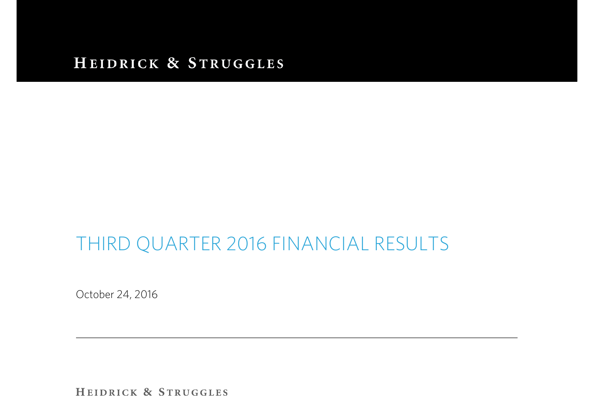#### HEIDRICK & STRUGGLES

# THIRD QUARTER 2016 FINANCIAL RESULTS

October 24, 2016

HEIDRICK & STRUGGLES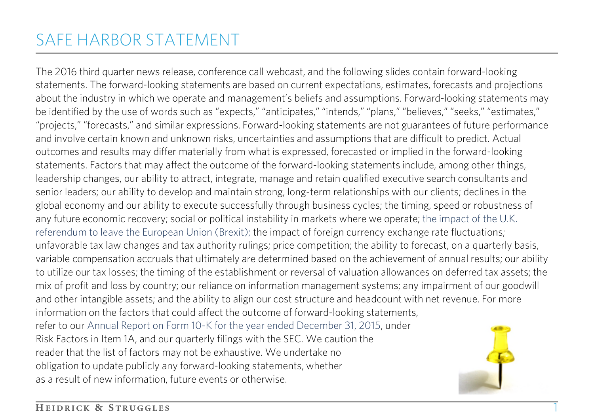# SAFE HARBOR STATEMENT

The 2016 third quarter news release, conference call webcast, and the following slides contain forward-looking statements. The forward-looking statements are based on current expectations, estimates, forecasts and projections about the industry in which we operate and management's beliefs and assumptions. Forward-looking statements may be identified by the use of words such as "expects," "anticipates," "intends," "plans," "believes," "seeks," "estimates," "projects," "forecasts," and similar expressions. Forward-looking statements are not guarantees of future performance and involve certain known and unknown risks, uncertainties and assumptions that are difficult to predict. Actual outcomes and results may differ materially from what is expressed, forecasted or implied in the forward-looking statements. Factors that may affect the outcome of the forward-looking statements include, among other things, leadership changes, our ability to attract, integrate, manage and retain qualified executive search consultants and senior leaders; our ability to develop and maintain strong, long-term relationships with our clients; declines in the global economy and our ability to execute successfully through business cycles; the timing, speed or robustness of any future economic recovery; social or political instability in markets where we operate; the impact of the U.K. referendum to leave the European Union (Brexit); the impact of foreign currency exchange rate fluctuations; unfavorable tax law changes and tax authority rulings; price competition; the ability to forecast, on a quarterly basis, variable compensation accruals that ultimately are determined based on the achievement of annual results; our ability to utilize our tax losses; the timing of the establishment or reversal of valuation allowances on deferred tax assets; the mix of profit and loss by country; our reliance on information management systems; any impairment of our goodwill and other intangible assets; and the ability to align our cost structure and headcount with net revenue. For more information on the factors that could affect the outcome of forward-looking statements, refer to our Annual Report on Form 10-K for the year ended December 31, 2015, under Risk Factors in Item 1A, and our quarterly filings with the SEC. We caution the reader that the list of factors may not be exhaustive. We undertake no obligation to update publicly any forward-looking statements, whether as a result of new information, future events or otherwise.

1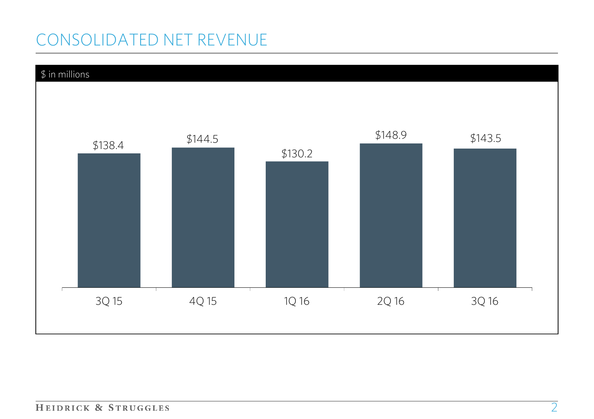# CONSOLIDATED NET REVENUE

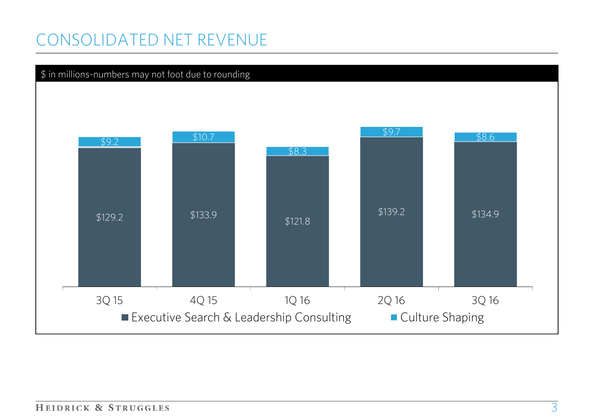### CONSOLIDATED NET REVENUE

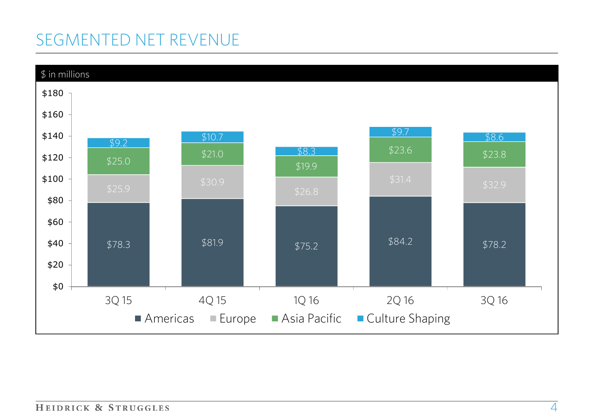# SEGMENTED NET REVENUE

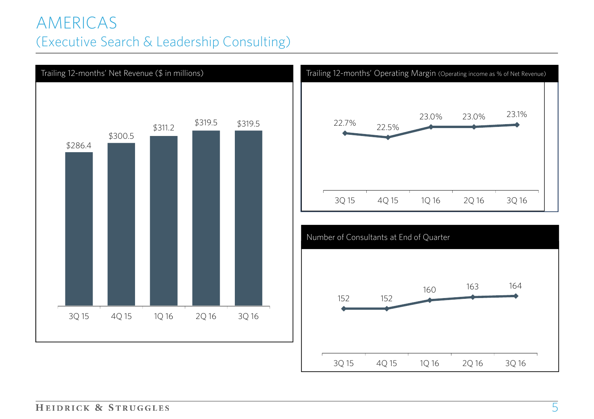#### AMERICAS (Executive Search & Leadership Consulting)





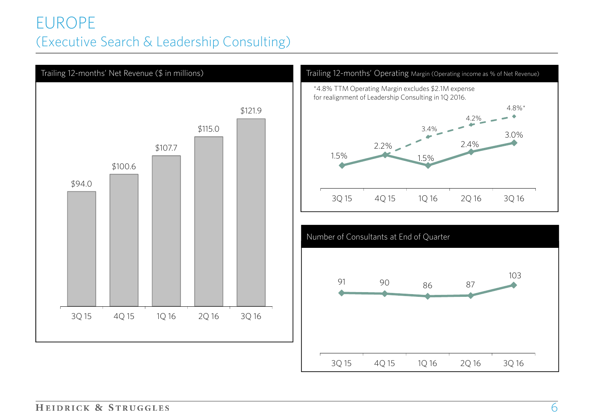#### EUROPE (Executive Search & Leadership Consulting)





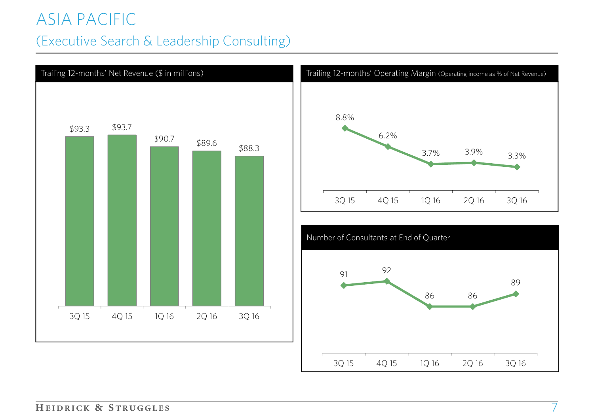### ASIA PACIFIC

#### (Executive Search & Leadership Consulting)





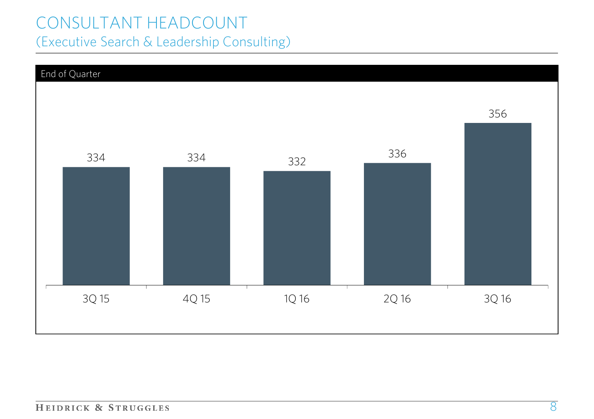### CONSULTANT HEADCOUNT (Executive Search & Leadership Consulting)

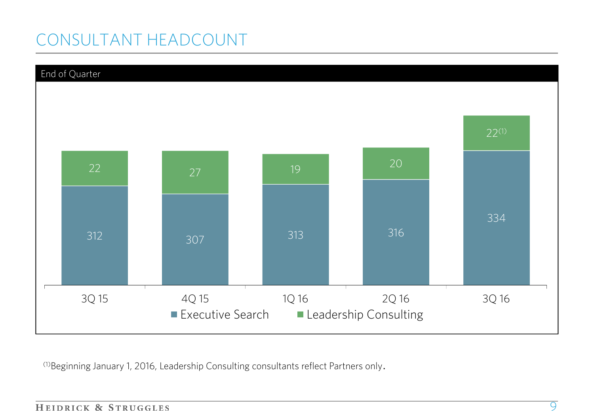# CONSULTANT HEADCOUNT



(1)Beginning January 1, 2016, Leadership Consulting consultants reflect Partners only.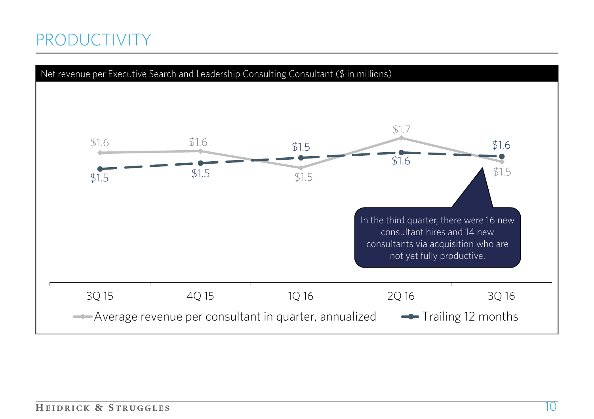### PRODUCTIVITY

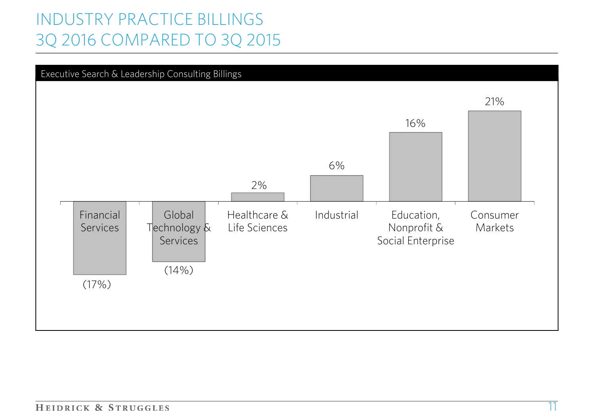# INDUSTRY PRACTICE BILLINGS 3Q 2016 COMPARED TO 3Q 2015

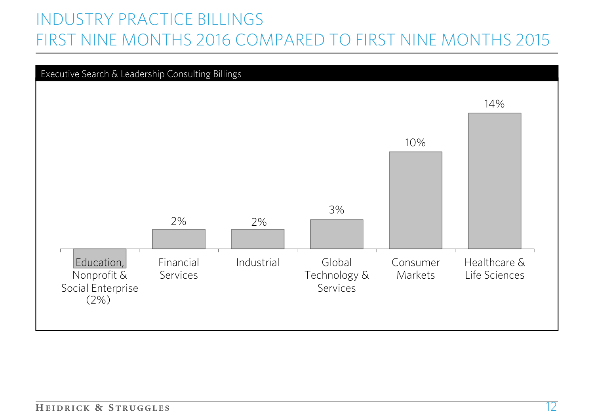# INDUSTRY PRACTICE BILLINGS FIRST NINE MONTHS 2016 COMPARED TO FIRST NINE MONTHS 2015

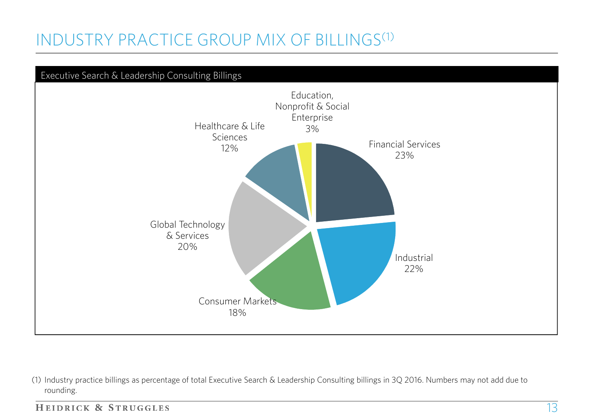# INDUSTRY PRACTICE GROUP MIX OF BILLINGS(1)



(1) Industry practice billings as percentage of total Executive Search & Leadership Consulting billings in 3Q 2016. Numbers may not add due to rounding.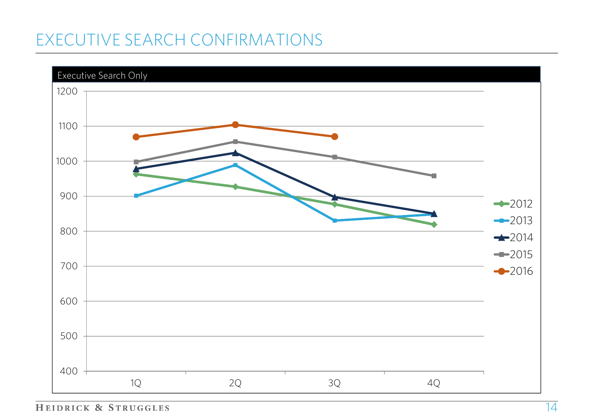# EXECUTIVE SEARCH CONFIRMATIONS

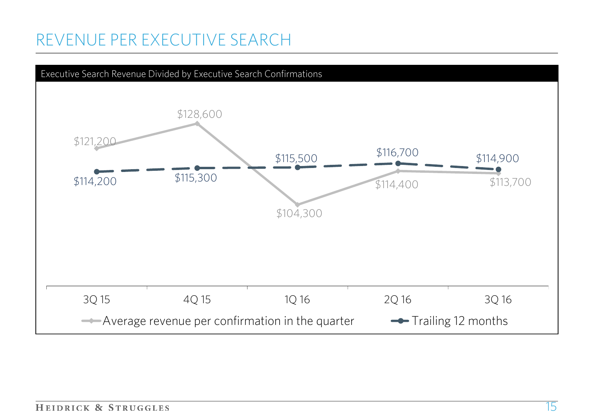### REVENUE PER EXECUTIVE SEARCH

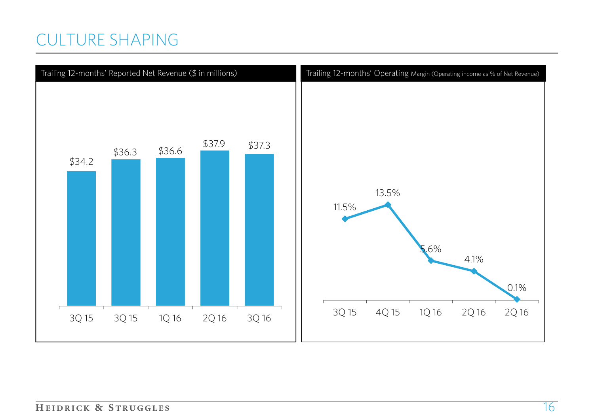### CULTURE SHAPING

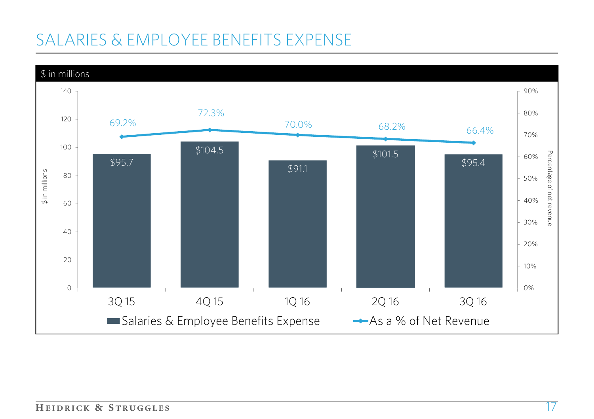# SALARIES & EMPLOYEE BENEFITS EXPENSE

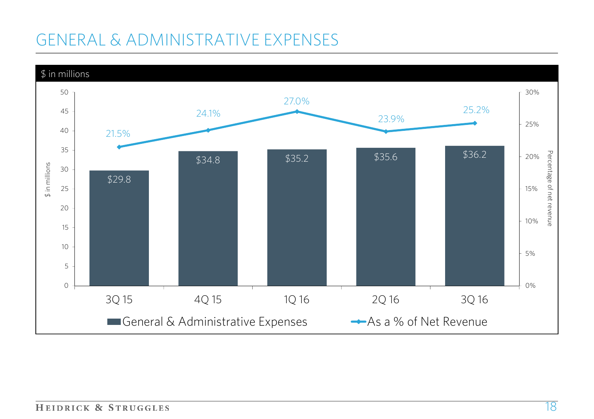# GENERAL & ADMINISTRATIVE EXPENSES

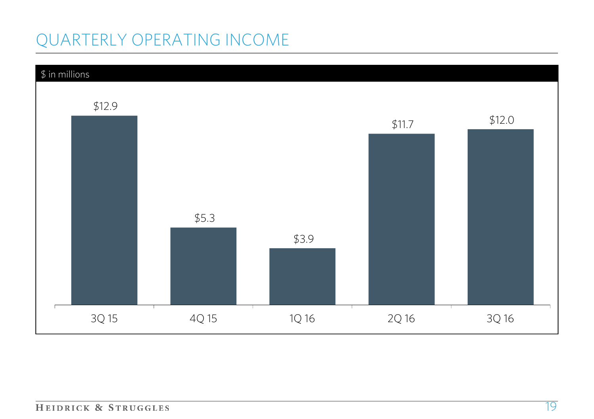# QUARTERLY OPERATING INCOME

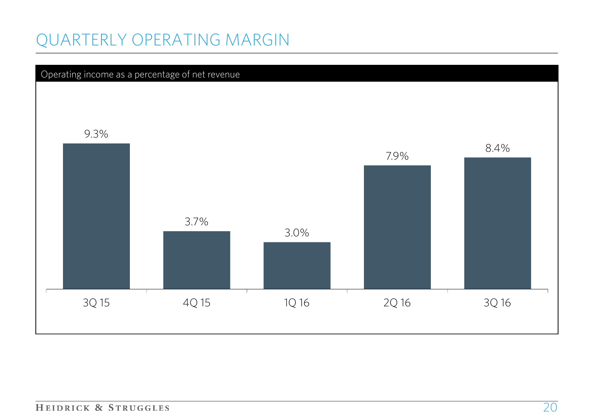### QUARTERLY OPERATING MARGIN

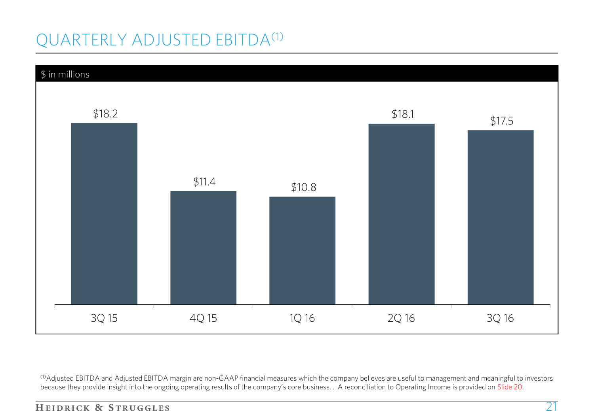# QUARTERLY ADJUSTED EBITDA(1)



<sup>(1)</sup>Adjusted EBITDA and Adjusted EBITDA margin are non-GAAP financial measures which the company believes are useful to management and meaningful to investors because they provide insight into the ongoing operating results of the company's core business. . A reconciliation to Operating Income is provided on Slide 20.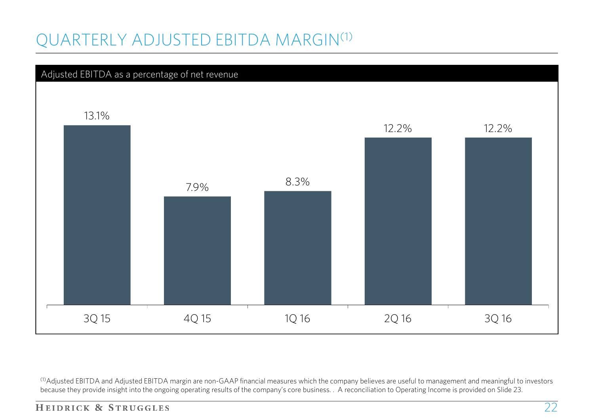# QUARTERLY ADJUSTED EBITDA MARGIN(1)



(1)Adjusted EBITDA and Adjusted EBITDA margin are non-GAAP financial measures which the company believes are useful to management and meaningful to investors because they provide insight into the ongoing operating results of the company's core business. . A reconciliation to Operating Income is provided on Slide 23.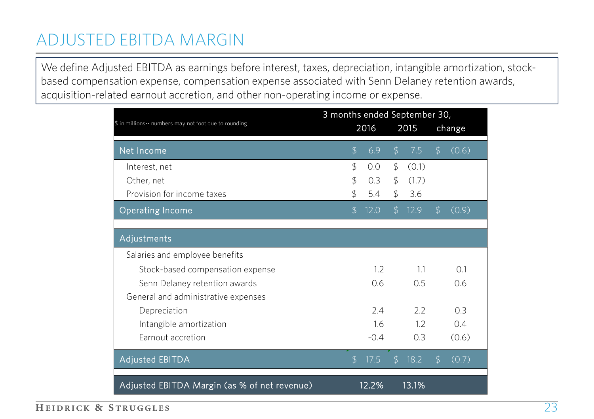### ADJUSTED EBITDA MARGIN

We define Adjusted EBITDA as earnings before interest, taxes, depreciation, intangible amortization, stockbased compensation expense, compensation expense associated with Senn Delaney retention awards, acquisition-related earnout accretion, and other non-operating income or expense.

| 3 months ended September 30,                          |                |        |                |       |                |        |  |
|-------------------------------------------------------|----------------|--------|----------------|-------|----------------|--------|--|
| \$ in millions-- numbers may not foot due to rounding |                | 2016   |                | 2015  |                | change |  |
| Net Income                                            | $\oint$        | 6.9    | $\mathfrak{D}$ | 7.5   | $\mathfrak{D}$ | (0.6)  |  |
| Interest, net                                         | $\mathfrak{D}$ | 0.0    | \$             | (0.1) |                |        |  |
| Other, net                                            | \$             | 0.3    | \$             | (1.7) |                |        |  |
| Provision for income taxes                            | \$             | 5.4    | \$             | 3.6   |                |        |  |
| <b>Operating Income</b>                               | $\mathcal{L}$  | 12.0   | $\mathfrak{D}$ | 12.9  | $\mathfrak{D}$ | (0.9)  |  |
|                                                       |                |        |                |       |                |        |  |
| Adjustments                                           |                |        |                |       |                |        |  |
| Salaries and employee benefits                        |                |        |                |       |                |        |  |
| Stock-based compensation expense                      |                | 1.2    |                | 1.1   |                | 0.1    |  |
| Senn Delaney retention awards                         |                | 0.6    |                | 0.5   |                | 0.6    |  |
| General and administrative expenses                   |                |        |                |       |                |        |  |
| Depreciation                                          |                | 7.4    |                | 2.2   |                | 0.3    |  |
| Intangible amortization                               |                | 1.6    |                | 1.2   |                | 0.4    |  |
| Earnout accretion                                     |                | $-0.4$ |                | 0.3   |                | (0.6)  |  |
| <b>Adjusted EBITDA</b>                                | $\mathfrak{D}$ | 17.5   | $\mathcal{L}$  | 18.2  | $\mathfrak{D}$ | (0.7)  |  |
| Adjusted EBITDA Margin (as % of net revenue)          |                | 12.2%  |                | 13.1% |                |        |  |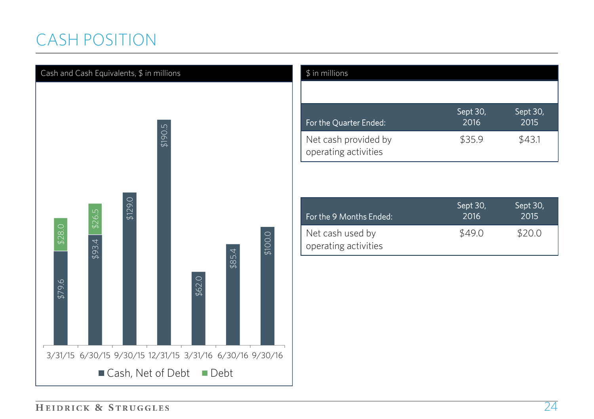# CASH POSITION



| $$$ in millions                              |                  |                  |
|----------------------------------------------|------------------|------------------|
|                                              |                  |                  |
| For the Quarter Ended:                       | Sept 30,<br>2016 | Sept 30,<br>2015 |
| Net cash provided by<br>operating activities | \$35.9           | \$43.1           |

| For the 9 Months Ended:                  | Sept 30,<br>2016 | Sept 30,<br>2015 |
|------------------------------------------|------------------|------------------|
| Net cash used by<br>operating activities | \$49.0           | \$20.0           |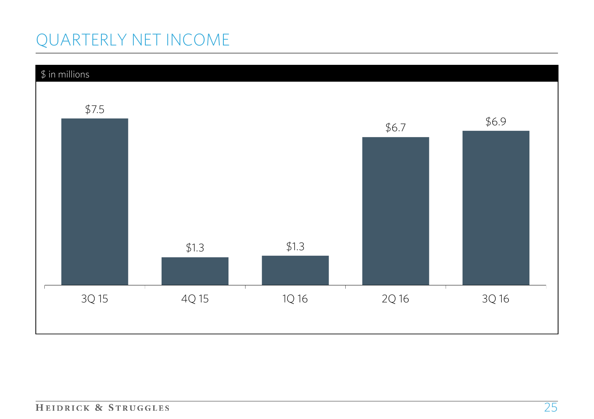# QUARTERLY NET INCOME

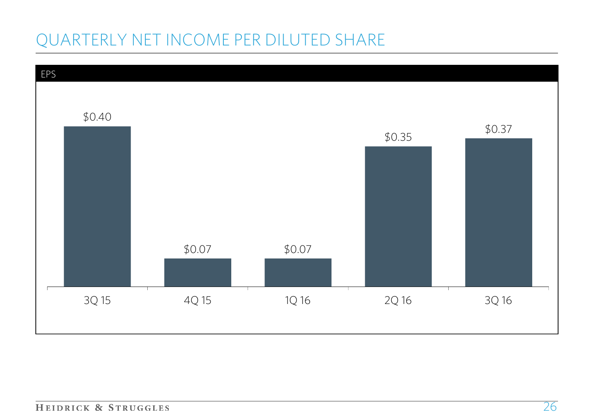# QUARTERLY NET INCOME PER DILUTED SHARE

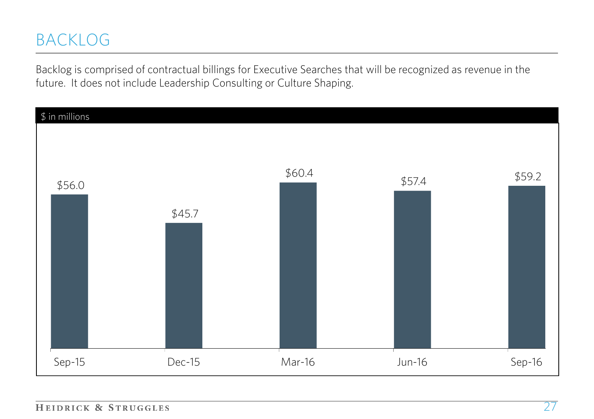### BACKLOG

Backlog is comprised of contractual billings for Executive Searches that will be recognized as revenue in the future. It does not include Leadership Consulting or Culture Shaping.

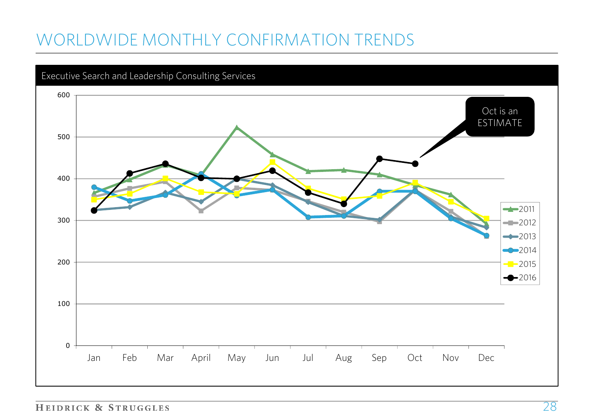# WORLDWIDE MONTHLY CONFIRMATION TRENDS



HEIDRICK & STRUGGLES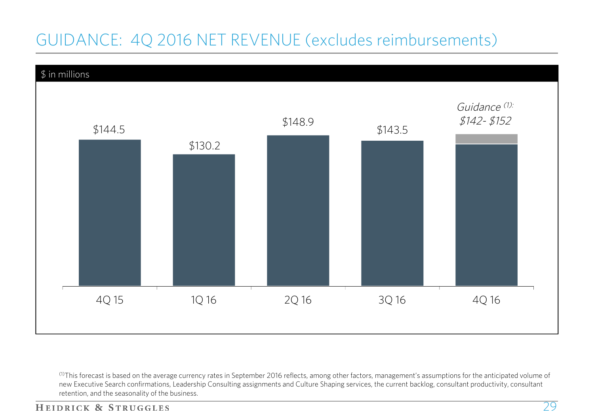# GUIDANCE: 4Q 2016 NET REVENUE (excludes reimbursements)



 $^{(1)}$ This forecast is based on the average currency rates in September 2016 reflects, among other factors, management's assumptions for the anticipated volume of new Executive Search confirmations, Leadership Consulting assignments and Culture Shaping services, the current backlog, consultant productivity, consultant retention, and the seasonality of the business.